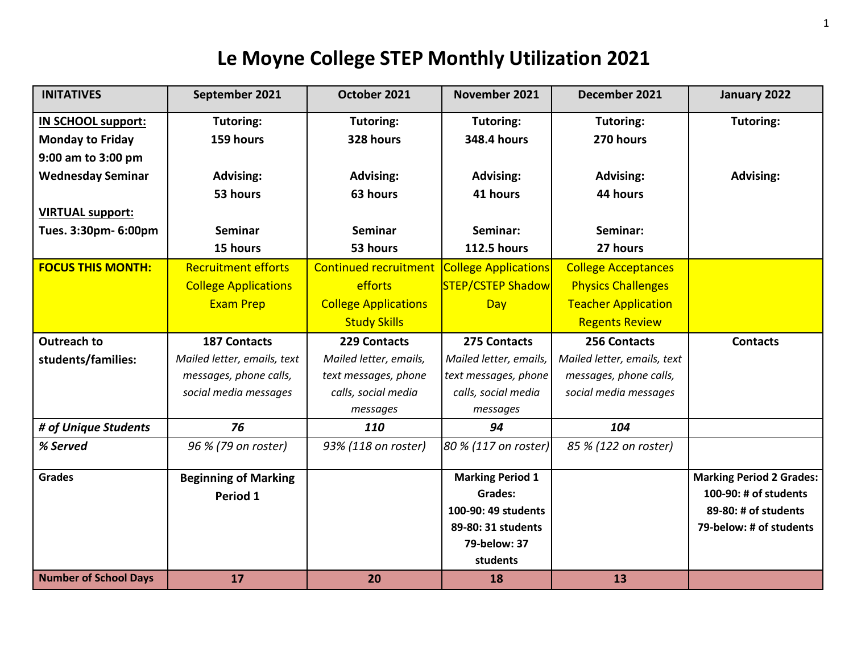| <b>INITATIVES</b>            | September 2021              | October 2021                 | November 2021               | December 2021               | January 2022                    |
|------------------------------|-----------------------------|------------------------------|-----------------------------|-----------------------------|---------------------------------|
| <b>IN SCHOOL support:</b>    | Tutoring:                   | Tutoring:                    | Tutoring:                   | Tutoring:                   | Tutoring:                       |
| <b>Monday to Friday</b>      | 159 hours                   | 328 hours                    | <b>348.4 hours</b>          | 270 hours                   |                                 |
| 9:00 am to 3:00 pm           |                             |                              |                             |                             |                                 |
| <b>Wednesday Seminar</b>     | <b>Advising:</b>            | <b>Advising:</b>             | <b>Advising:</b>            | <b>Advising:</b>            | <b>Advising:</b>                |
|                              | 53 hours                    | 63 hours                     | 41 hours                    | 44 hours                    |                                 |
| <b>VIRTUAL support:</b>      |                             |                              |                             |                             |                                 |
| Tues. 3:30pm- 6:00pm         | Seminar                     | Seminar                      | Seminar:                    | Seminar:                    |                                 |
|                              | 15 hours                    | 53 hours                     | <b>112.5 hours</b>          | 27 hours                    |                                 |
| <b>FOCUS THIS MONTH:</b>     | <b>Recruitment efforts</b>  | <b>Continued recruitment</b> | <b>College Applications</b> | <b>College Acceptances</b>  |                                 |
|                              | <b>College Applications</b> | efforts                      | <b>STEP/CSTEP Shadow</b>    | <b>Physics Challenges</b>   |                                 |
|                              | <b>Exam Prep</b>            | <b>College Applications</b>  | Day                         | <b>Teacher Application</b>  |                                 |
|                              |                             | <b>Study Skills</b>          |                             | <b>Regents Review</b>       |                                 |
| <b>Outreach to</b>           | <b>187 Contacts</b>         | 229 Contacts                 | 275 Contacts                | 256 Contacts                | <b>Contacts</b>                 |
|                              |                             |                              |                             |                             |                                 |
| students/families:           | Mailed letter, emails, text | Mailed letter, emails,       | Mailed letter, emails,      | Mailed letter, emails, text |                                 |
|                              | messages, phone calls,      | text messages, phone         | text messages, phone        | messages, phone calls,      |                                 |
|                              | social media messages       | calls, social media          | calls, social media         | social media messages       |                                 |
|                              |                             | messages                     | messages                    |                             |                                 |
| # of Unique Students         | 76                          | <b>110</b>                   | 94                          | 104                         |                                 |
| % Served                     | 96 % (79 on roster)         | 93% (118 on roster)          | 80 % (117 on roster)        | 85 % (122 on roster)        |                                 |
| <b>Grades</b>                | <b>Beginning of Marking</b> |                              | <b>Marking Period 1</b>     |                             | <b>Marking Period 2 Grades:</b> |
|                              | Period 1                    |                              | Grades:                     |                             | 100-90: # of students           |
|                              |                             |                              | 100-90: 49 students         |                             | 89-80: # of students            |
|                              |                             |                              | 89-80: 31 students          |                             | 79-below: # of students         |
|                              |                             |                              | 79-below: 37                |                             |                                 |
| <b>Number of School Days</b> | 17                          |                              | students                    | 13                          |                                 |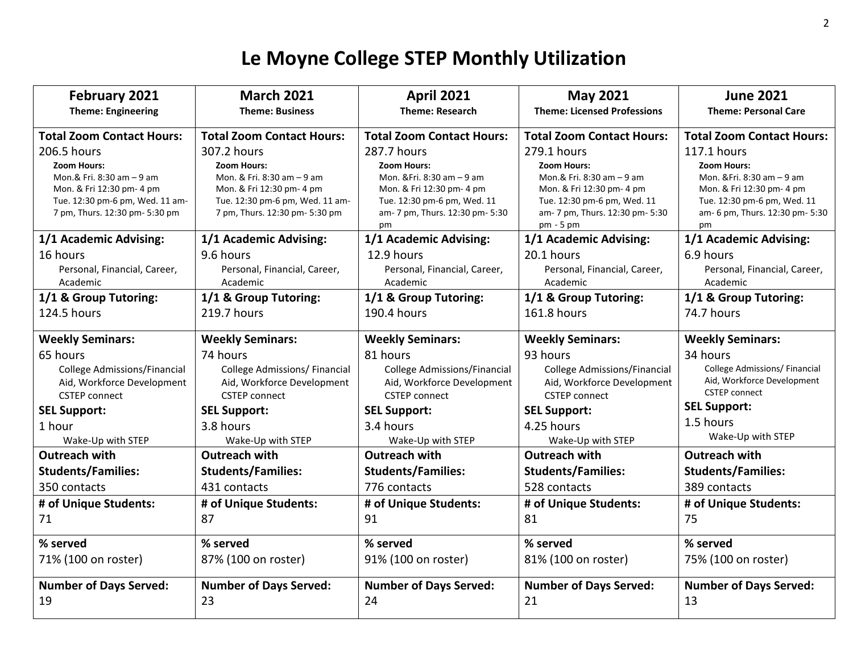| February 2021                                                                                                                                                    | <b>March 2021</b>                                                                                                                                                 | <b>April 2021</b>                                                                                                                                                    | <b>May 2021</b>                                                                                                                                                            | <b>June 2021</b>                                                                                                                                                     |
|------------------------------------------------------------------------------------------------------------------------------------------------------------------|-------------------------------------------------------------------------------------------------------------------------------------------------------------------|----------------------------------------------------------------------------------------------------------------------------------------------------------------------|----------------------------------------------------------------------------------------------------------------------------------------------------------------------------|----------------------------------------------------------------------------------------------------------------------------------------------------------------------|
| <b>Theme: Engineering</b>                                                                                                                                        | <b>Theme: Business</b>                                                                                                                                            | <b>Theme: Research</b>                                                                                                                                               | <b>Theme: Licensed Professions</b>                                                                                                                                         | <b>Theme: Personal Care</b>                                                                                                                                          |
| <b>Total Zoom Contact Hours:</b>                                                                                                                                 | <b>Total Zoom Contact Hours:</b>                                                                                                                                  | <b>Total Zoom Contact Hours:</b>                                                                                                                                     | <b>Total Zoom Contact Hours:</b>                                                                                                                                           | <b>Total Zoom Contact Hours:</b>                                                                                                                                     |
| 206.5 hours<br><b>Zoom Hours:</b><br>Mon.& Fri. 8:30 am - 9 am<br>Mon. & Fri 12:30 pm- 4 pm<br>Tue. 12:30 pm-6 pm, Wed. 11 am-<br>7 pm, Thurs. 12:30 pm- 5:30 pm | 307.2 hours<br><b>Zoom Hours:</b><br>Mon. & Fri. 8:30 am - 9 am<br>Mon. & Fri 12:30 pm- 4 pm<br>Tue. 12:30 pm-6 pm, Wed. 11 am-<br>7 pm, Thurs. 12:30 pm- 5:30 pm | 287.7 hours<br><b>Zoom Hours:</b><br>Mon. & Fri. 8:30 am - 9 am<br>Mon. & Fri 12:30 pm- 4 pm<br>Tue. 12:30 pm-6 pm, Wed. 11<br>am- 7 pm, Thurs. 12:30 pm- 5:30<br>pm | 279.1 hours<br><b>Zoom Hours:</b><br>Mon.& Fri. 8:30 am - 9 am<br>Mon. & Fri 12:30 pm- 4 pm<br>Tue. 12:30 pm-6 pm, Wed. 11<br>am- 7 pm, Thurs. 12:30 pm- 5:30<br>pm - 5 pm | 117.1 hours<br><b>Zoom Hours:</b><br>Mon. & Fri. 8:30 am - 9 am<br>Mon. & Fri 12:30 pm- 4 pm<br>Tue. 12:30 pm-6 pm, Wed. 11<br>am- 6 pm, Thurs. 12:30 pm- 5:30<br>pm |
| 1/1 Academic Advising:                                                                                                                                           | 1/1 Academic Advising:                                                                                                                                            | 1/1 Academic Advising:                                                                                                                                               | 1/1 Academic Advising:                                                                                                                                                     | 1/1 Academic Advising:                                                                                                                                               |
| 16 hours<br>Personal, Financial, Career,<br>Academic                                                                                                             | 9.6 hours<br>Personal, Financial, Career,<br>Academic                                                                                                             | 12.9 hours<br>Personal, Financial, Career,<br>Academic                                                                                                               | 20.1 hours<br>Personal, Financial, Career,<br>Academic                                                                                                                     | 6.9 hours<br>Personal, Financial, Career,<br>Academic                                                                                                                |
| 1/1 & Group Tutoring:                                                                                                                                            | 1/1 & Group Tutoring:                                                                                                                                             | 1/1 & Group Tutoring:                                                                                                                                                | 1/1 & Group Tutoring:                                                                                                                                                      | 1/1 & Group Tutoring:                                                                                                                                                |
| 124.5 hours                                                                                                                                                      | 219.7 hours                                                                                                                                                       | 190.4 hours                                                                                                                                                          | 161.8 hours                                                                                                                                                                | 74.7 hours                                                                                                                                                           |
| <b>Weekly Seminars:</b>                                                                                                                                          | <b>Weekly Seminars:</b>                                                                                                                                           | <b>Weekly Seminars:</b>                                                                                                                                              | <b>Weekly Seminars:</b>                                                                                                                                                    | <b>Weekly Seminars:</b>                                                                                                                                              |
| 65 hours<br><b>College Admissions/Financial</b><br>Aid, Workforce Development<br><b>CSTEP</b> connect<br><b>SEL Support:</b><br>1 hour<br>Wake-Up with STEP      | 74 hours<br><b>College Admissions/ Financial</b><br>Aid, Workforce Development<br><b>CSTEP</b> connect<br><b>SEL Support:</b><br>3.8 hours<br>Wake-Up with STEP   | 81 hours<br><b>College Admissions/Financial</b><br>Aid, Workforce Development<br><b>CSTEP</b> connect<br><b>SEL Support:</b><br>3.4 hours<br>Wake-Up with STEP       | 93 hours<br><b>College Admissions/Financial</b><br>Aid, Workforce Development<br><b>CSTEP</b> connect<br><b>SEL Support:</b><br>4.25 hours<br>Wake-Up with STEP            | 34 hours<br><b>College Admissions/ Financial</b><br>Aid, Workforce Development<br><b>CSTEP</b> connect<br><b>SEL Support:</b><br>1.5 hours<br>Wake-Up with STEP      |
| Outreach with                                                                                                                                                    | Outreach with                                                                                                                                                     | <b>Outreach with</b>                                                                                                                                                 | <b>Outreach with</b>                                                                                                                                                       | Outreach with                                                                                                                                                        |
| <b>Students/Families:</b>                                                                                                                                        | <b>Students/Families:</b>                                                                                                                                         | <b>Students/Families:</b>                                                                                                                                            | <b>Students/Families:</b>                                                                                                                                                  | <b>Students/Families:</b>                                                                                                                                            |
| 350 contacts                                                                                                                                                     | 431 contacts                                                                                                                                                      | 776 contacts                                                                                                                                                         | 528 contacts                                                                                                                                                               | 389 contacts                                                                                                                                                         |
| # of Unique Students:                                                                                                                                            | # of Unique Students:                                                                                                                                             | # of Unique Students:                                                                                                                                                | # of Unique Students:                                                                                                                                                      | # of Unique Students:                                                                                                                                                |
| 71                                                                                                                                                               | 87                                                                                                                                                                | 91                                                                                                                                                                   | 81                                                                                                                                                                         | 75                                                                                                                                                                   |
| % served                                                                                                                                                         | % served                                                                                                                                                          | % served                                                                                                                                                             | % served                                                                                                                                                                   | % served                                                                                                                                                             |
| 71% (100 on roster)                                                                                                                                              | 87% (100 on roster)                                                                                                                                               | 91% (100 on roster)                                                                                                                                                  | 81% (100 on roster)                                                                                                                                                        | 75% (100 on roster)                                                                                                                                                  |
| <b>Number of Days Served:</b><br>19                                                                                                                              | <b>Number of Days Served:</b><br>23                                                                                                                               | <b>Number of Days Served:</b><br>24                                                                                                                                  | <b>Number of Days Served:</b><br>21                                                                                                                                        | <b>Number of Days Served:</b><br>13                                                                                                                                  |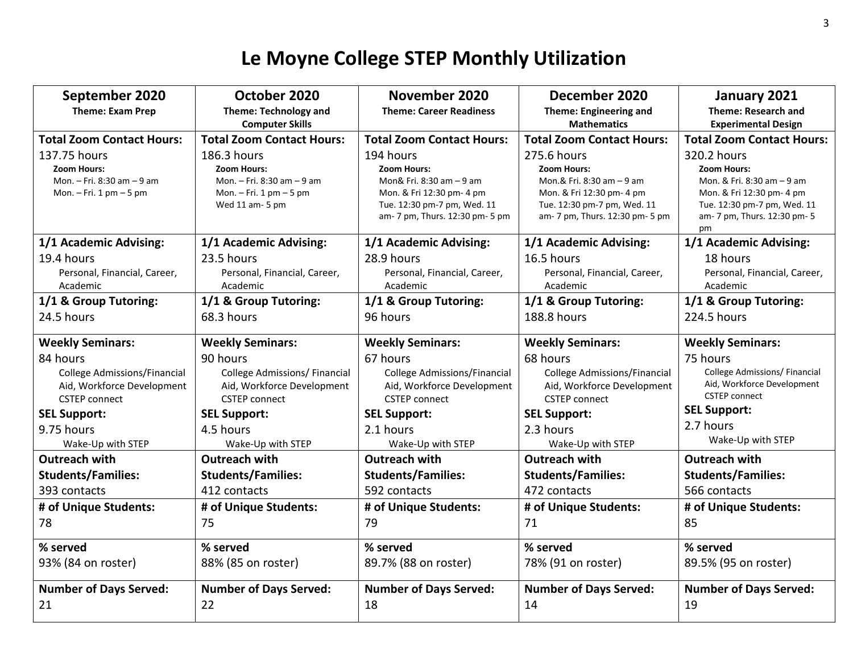| September 2020                      | October 2020                                   | November 2020                                            | December 2020                                            | January 2021                                             |
|-------------------------------------|------------------------------------------------|----------------------------------------------------------|----------------------------------------------------------|----------------------------------------------------------|
| <b>Theme: Exam Prep</b>             | <b>Theme: Technology and</b>                   | <b>Theme: Career Readiness</b>                           | Theme: Engineering and                                   | <b>Theme: Research and</b>                               |
|                                     | <b>Computer Skills</b>                         |                                                          | <b>Mathematics</b>                                       | <b>Experimental Design</b>                               |
| <b>Total Zoom Contact Hours:</b>    | <b>Total Zoom Contact Hours:</b>               | <b>Total Zoom Contact Hours:</b>                         | <b>Total Zoom Contact Hours:</b>                         | <b>Total Zoom Contact Hours:</b>                         |
| 137.75 hours                        | 186.3 hours                                    | 194 hours                                                | 275.6 hours                                              | 320.2 hours                                              |
| Zoom Hours:                         | <b>Zoom Hours:</b>                             | <b>Zoom Hours:</b>                                       | Zoom Hours:                                              | <b>Zoom Hours:</b>                                       |
| Mon. - Fri. 8:30 am - 9 am          | Mon. - Fri. 8:30 am - 9 am                     | Mon& Fri. 8:30 am - 9 am                                 | Mon.& Fri. 8:30 am - 9 am                                | Mon. & Fri. 8:30 am - 9 am                               |
| Mon. $-$ Fri. 1 pm $-$ 5 pm         | Mon. $-$ Fri. 1 pm $-$ 5 pm<br>Wed 11 am- 5 pm | Mon. & Fri 12:30 pm- 4 pm<br>Tue. 12:30 pm-7 pm, Wed. 11 | Mon. & Fri 12:30 pm- 4 pm<br>Tue. 12:30 pm-7 pm, Wed. 11 | Mon. & Fri 12:30 pm- 4 pm<br>Tue. 12:30 pm-7 pm, Wed. 11 |
|                                     |                                                | am- 7 pm, Thurs. 12:30 pm- 5 pm                          | am- 7 pm, Thurs. 12:30 pm- 5 pm                          | am- 7 pm, Thurs. 12:30 pm- 5                             |
|                                     |                                                |                                                          |                                                          | pm                                                       |
| 1/1 Academic Advising:              | 1/1 Academic Advising:                         | 1/1 Academic Advising:                                   | 1/1 Academic Advising:                                   | 1/1 Academic Advising:                                   |
| 19.4 hours                          | 23.5 hours                                     | 28.9 hours                                               | 16.5 hours                                               | 18 hours                                                 |
| Personal, Financial, Career,        | Personal, Financial, Career,                   | Personal, Financial, Career,                             | Personal, Financial, Career,                             | Personal, Financial, Career,                             |
| Academic                            | Academic                                       | Academic                                                 | Academic                                                 | Academic                                                 |
| 1/1 & Group Tutoring:               | 1/1 & Group Tutoring:                          | 1/1 & Group Tutoring:                                    | 1/1 & Group Tutoring:                                    | 1/1 & Group Tutoring:                                    |
| 24.5 hours                          | 68.3 hours                                     | 96 hours                                                 | 188.8 hours                                              | 224.5 hours                                              |
| <b>Weekly Seminars:</b>             | <b>Weekly Seminars:</b>                        | <b>Weekly Seminars:</b>                                  | <b>Weekly Seminars:</b>                                  | <b>Weekly Seminars:</b>                                  |
| 84 hours                            | 90 hours                                       | 67 hours                                                 | 68 hours                                                 | 75 hours                                                 |
| <b>College Admissions/Financial</b> | <b>College Admissions/ Financial</b>           | College Admissions/Financial                             | <b>College Admissions/Financial</b>                      | College Admissions/ Financial                            |
| Aid, Workforce Development          | Aid, Workforce Development                     | Aid, Workforce Development                               | Aid, Workforce Development                               | Aid, Workforce Development                               |
| <b>CSTEP</b> connect                | <b>CSTEP</b> connect                           | <b>CSTEP</b> connect                                     | <b>CSTEP</b> connect                                     | <b>CSTEP</b> connect                                     |
| <b>SEL Support:</b>                 | <b>SEL Support:</b>                            | <b>SEL Support:</b>                                      | <b>SEL Support:</b>                                      | <b>SEL Support:</b>                                      |
| 9.75 hours                          | 4.5 hours                                      | 2.1 hours                                                | 2.3 hours                                                | 2.7 hours                                                |
| Wake-Up with STEP                   | Wake-Up with STEP                              | Wake-Up with STEP                                        | Wake-Up with STEP                                        | Wake-Up with STEP                                        |
| <b>Outreach with</b>                | Outreach with                                  | <b>Outreach with</b>                                     | <b>Outreach with</b>                                     | <b>Outreach with</b>                                     |
| <b>Students/Families:</b>           | <b>Students/Families:</b>                      | <b>Students/Families:</b>                                | <b>Students/Families:</b>                                | <b>Students/Families:</b>                                |
| 393 contacts                        | 412 contacts                                   | 592 contacts                                             | 472 contacts                                             | 566 contacts                                             |
| # of Unique Students:               | # of Unique Students:                          | # of Unique Students:                                    | # of Unique Students:                                    | # of Unique Students:                                    |
| 78                                  | 75                                             | 79                                                       | 71                                                       | 85                                                       |
| % served                            | % served                                       | % served                                                 | % served                                                 | % served                                                 |
| 93% (84 on roster)                  | 88% (85 on roster)                             | 89.7% (88 on roster)                                     | 78% (91 on roster)                                       | 89.5% (95 on roster)                                     |
| <b>Number of Days Served:</b>       | <b>Number of Days Served:</b>                  | <b>Number of Days Served:</b>                            | <b>Number of Days Served:</b>                            | <b>Number of Days Served:</b>                            |
| 21                                  | 22                                             | 18                                                       | 14                                                       | 19                                                       |
|                                     |                                                |                                                          |                                                          |                                                          |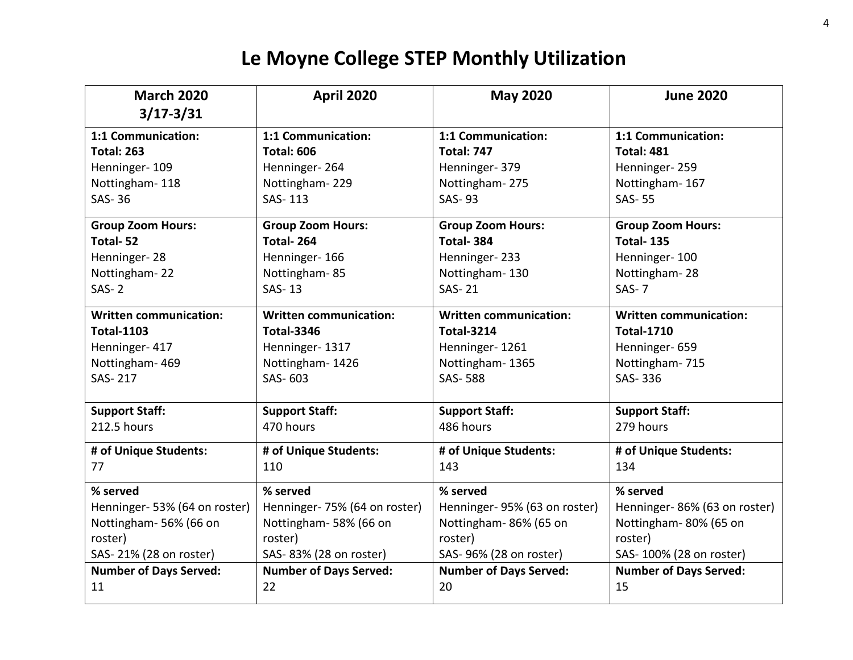| <b>March 2020</b>             | <b>April 2020</b>             | <b>May 2020</b>               | <b>June 2020</b>              |
|-------------------------------|-------------------------------|-------------------------------|-------------------------------|
| $3/17 - 3/31$                 |                               |                               |                               |
| 1:1 Communication:            | 1:1 Communication:            | 1:1 Communication:            | 1:1 Communication:            |
| <b>Total: 263</b>             | <b>Total: 606</b>             | <b>Total: 747</b>             | <b>Total: 481</b>             |
| Henninger-109                 | Henninger-264                 | Henninger-379                 | Henninger-259                 |
| Nottingham-118                | Nottingham-229                | Nottingham-275                | Nottingham-167                |
| <b>SAS-36</b>                 | SAS-113                       | <b>SAS-93</b>                 | <b>SAS-55</b>                 |
| <b>Group Zoom Hours:</b>      | <b>Group Zoom Hours:</b>      | <b>Group Zoom Hours:</b>      | <b>Group Zoom Hours:</b>      |
| Total-52                      | Total-264                     | Total-384                     | <b>Total-135</b>              |
| Henninger-28                  | Henninger-166                 | Henninger-233                 | Henninger-100                 |
| Nottingham-22                 | Nottingham-85                 | Nottingham-130                | Nottingham-28                 |
| $SAS-2$                       | <b>SAS-13</b>                 | <b>SAS-21</b>                 | $SAS-7$                       |
| <b>Written communication:</b> | <b>Written communication:</b> | <b>Written communication:</b> | <b>Written communication:</b> |
| <b>Total-1103</b>             | <b>Total-3346</b>             | <b>Total-3214</b>             | <b>Total-1710</b>             |
| Henninger-417                 | Henninger-1317                | Henninger-1261                | Henninger-659                 |
| Nottingham-469                | Nottingham-1426               | Nottingham-1365               | Nottingham-715                |
| SAS-217                       | SAS-603                       | <b>SAS-588</b>                | SAS-336                       |
| <b>Support Staff:</b>         | <b>Support Staff:</b>         | <b>Support Staff:</b>         | <b>Support Staff:</b>         |
| 212.5 hours                   | 470 hours                     | 486 hours                     | 279 hours                     |
|                               |                               |                               |                               |
| # of Unique Students:         | # of Unique Students:         | # of Unique Students:         | # of Unique Students:         |
| 77                            | 110                           | 143                           | 134                           |
| % served                      | % served                      | % served                      | % served                      |
| Henninger-53% (64 on roster)  | Henninger-75% (64 on roster)  | Henninger-95% (63 on roster)  | Henninger-86% (63 on roster)  |
| Nottingham-56% (66 on         | Nottingham-58% (66 on         | Nottingham-86% (65 on         | Nottingham-80% (65 on         |
| roster)                       | roster)                       | roster)                       | roster)                       |
| SAS-21% (28 on roster)        | SAS-83% (28 on roster)        | SAS- 96% (28 on roster)       | SAS- 100% (28 on roster)      |
| <b>Number of Days Served:</b> | <b>Number of Days Served:</b> | <b>Number of Days Served:</b> | <b>Number of Days Served:</b> |
| 11                            | 22                            | 20                            | 15                            |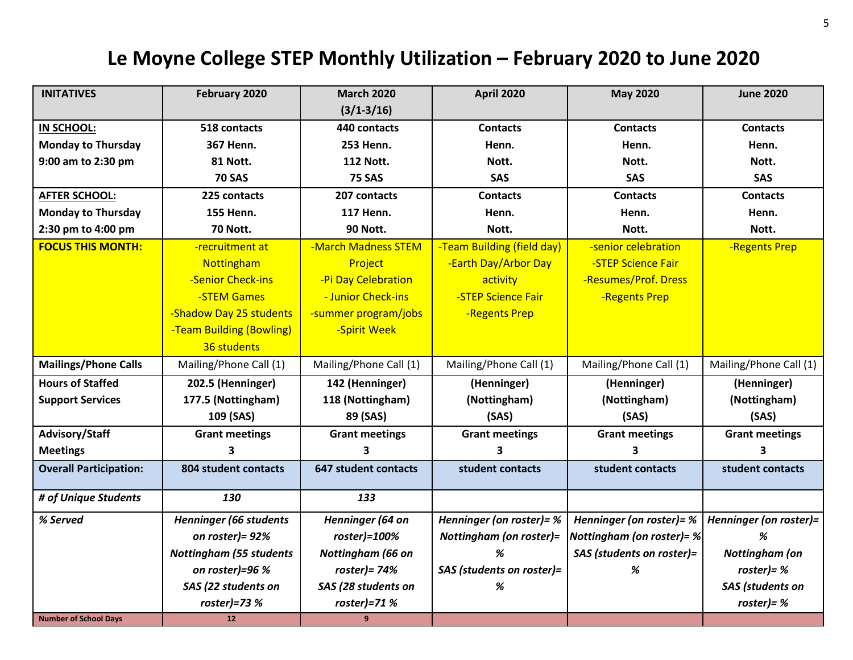### **Le Moyne College STEP Monthly Utilization – February 2020 to June 2020**

| <b>INITATIVES</b>             | February 2020                  | <b>March 2020</b>      | <b>April 2020</b>              | <b>May 2020</b>           | <b>June 2020</b>       |
|-------------------------------|--------------------------------|------------------------|--------------------------------|---------------------------|------------------------|
|                               |                                | $(3/1 - 3/16)$         |                                |                           |                        |
| IN SCHOOL:                    | 518 contacts                   | 440 contacts           | <b>Contacts</b>                | <b>Contacts</b>           | <b>Contacts</b>        |
| <b>Monday to Thursday</b>     | 367 Henn.                      | <b>253 Henn.</b>       | Henn.                          | Henn.                     | Henn.                  |
| 9:00 am to 2:30 pm            | <b>81 Nott.</b>                | <b>112 Nott.</b>       | Nott.                          | Nott.                     | Nott.                  |
|                               | <b>70 SAS</b>                  | <b>75 SAS</b>          | SAS                            | SAS                       | SAS                    |
| <b>AFTER SCHOOL:</b>          | 225 contacts                   | 207 contacts           | <b>Contacts</b>                | <b>Contacts</b>           | <b>Contacts</b>        |
| <b>Monday to Thursday</b>     | <b>155 Henn.</b>               | <b>117 Henn.</b>       | Henn.                          | Henn.                     | Henn.                  |
| 2:30 pm to 4:00 pm            | <b>70 Nott.</b>                | 90 Nott.               | Nott.                          | Nott.                     | Nott.                  |
| <b>FOCUS THIS MONTH:</b>      | -recruitment at                | -March Madness STEM    | -Team Building (field day)     | -senior celebration       | -Regents Prep          |
|                               | Nottingham                     | Project                | -Earth Day/Arbor Day           | -STEP Science Fair        |                        |
|                               | -Senior Check-ins              | -Pi Day Celebration    | activity                       | -Resumes/Prof. Dress      |                        |
|                               | -STEM Games                    | - Junior Check-ins     | -STEP Science Fair             | -Regents Prep             |                        |
|                               | -Shadow Day 25 students        | -summer program/jobs   | -Regents Prep                  |                           |                        |
|                               | -Team Building (Bowling)       | -Spirit Week           |                                |                           |                        |
|                               | 36 students                    |                        |                                |                           |                        |
| <b>Mailings/Phone Calls</b>   | Mailing/Phone Call (1)         | Mailing/Phone Call (1) | Mailing/Phone Call (1)         | Mailing/Phone Call (1)    | Mailing/Phone Call (1) |
| <b>Hours of Staffed</b>       | 202.5 (Henninger)              | 142 (Henninger)        | (Henninger)                    | (Henninger)               | (Henninger)            |
| <b>Support Services</b>       | 177.5 (Nottingham)             | 118 (Nottingham)       | (Nottingham)                   | (Nottingham)              | (Nottingham)           |
|                               | 109 (SAS)                      | 89 (SAS)               | (SAS)                          | (SAS)                     | (SAS)                  |
| Advisory/Staff                | <b>Grant meetings</b>          | <b>Grant meetings</b>  | <b>Grant meetings</b>          | <b>Grant meetings</b>     | <b>Grant meetings</b>  |
| <b>Meetings</b>               | 3                              | 3                      | 3                              | 3                         | 3                      |
| <b>Overall Participation:</b> | 804 student contacts           | 647 student contacts   | student contacts               | student contacts          | student contacts       |
| # of Unique Students          | 130                            | 133                    |                                |                           |                        |
| % Served                      | <b>Henninger (66 students</b>  | Henninger (64 on       | Henninger (on roster)= %       | Henninger (on roster)= %  | Henninger (on roster)= |
|                               | on roster)= 92%                | roster)=100%           | <b>Nottingham (on roster)=</b> | Nottingham (on roster)= % | %                      |
|                               | <b>Nottingham (55 students</b> | Nottingham (66 on      | %                              | SAS (students on roster)= | <b>Nottingham</b> (on  |
|                               | on roster)=96 $%$              | $roster$ ) = 74%       | SAS (students on roster)=      | %                         | roster) = $%$          |
|                               | SAS (22 students on            | SAS (28 students on    | %                              |                           | SAS (students on       |
|                               | $roster$ )=73 %                | $roster$ )=71 %        |                                |                           | $roster$ ) = %         |
| <b>Number of School Days</b>  | 12                             | 9                      |                                |                           |                        |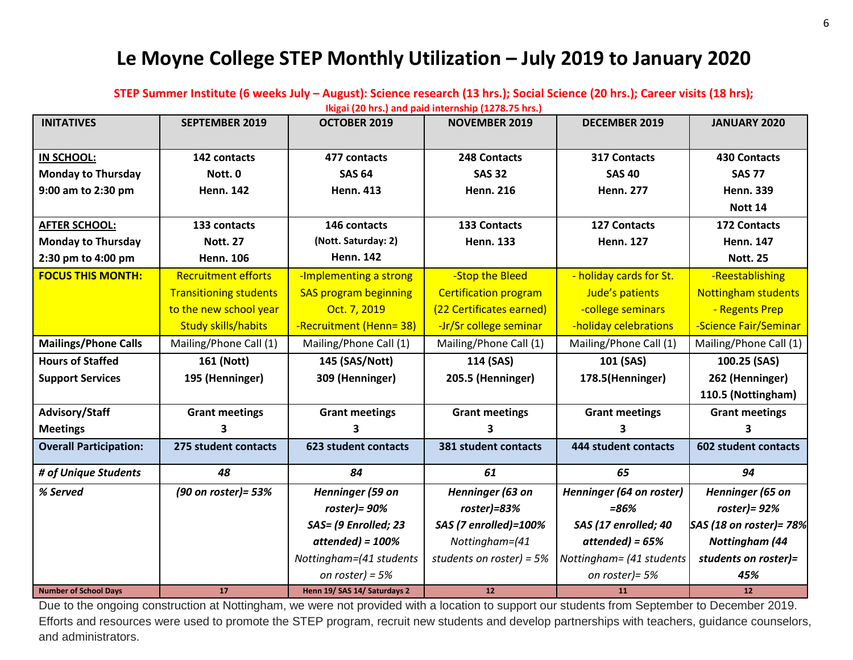#### **Le Moyne College STEP Monthly Utilization – July 2019 to January 2020**

**STEP Summer Institute (6 weeks July – August): Science research (13 hrs.); Social Science (20 hrs.); Career visits (18 hrs);** 

**Ikigai (20 hrs.) and paid internship (1278.75 hrs.)**

| <b>INITATIVES</b>             | <b>SEPTEMBER 2019</b>         | OCTOBER 2019                 | <b>NOVEMBER 2019</b>         | <b>DECEMBER 2019</b>     | <b>JANUARY 2020</b>         |
|-------------------------------|-------------------------------|------------------------------|------------------------------|--------------------------|-----------------------------|
|                               |                               |                              |                              |                          |                             |
| IN SCHOOL:                    | 142 contacts                  | 477 contacts                 | 248 Contacts                 | 317 Contacts             | <b>430 Contacts</b>         |
| <b>Monday to Thursday</b>     | Nott. <sub>0</sub>            | <b>SAS 64</b>                | <b>SAS 32</b>                | <b>SAS 40</b>            | <b>SAS 77</b>               |
| 9:00 am to 2:30 pm            | <b>Henn. 142</b>              | <b>Henn. 413</b>             | <b>Henn. 216</b>             | <b>Henn. 277</b>         | <b>Henn. 339</b>            |
|                               |                               |                              |                              |                          | Nott 14                     |
| <b>AFTER SCHOOL:</b>          | 133 contacts                  | 146 contacts                 | <b>133 Contacts</b>          | <b>127 Contacts</b>      | <b>172 Contacts</b>         |
| <b>Monday to Thursday</b>     | <b>Nott. 27</b>               | (Nott. Saturday: 2)          | <b>Henn. 133</b>             | <b>Henn. 127</b>         | <b>Henn. 147</b>            |
| 2:30 pm to 4:00 pm            | <b>Henn. 106</b>              | <b>Henn. 142</b>             |                              |                          | <b>Nott. 25</b>             |
| <b>FOCUS THIS MONTH:</b>      | <b>Recruitment efforts</b>    | -Implementing a strong       | -Stop the Bleed              | - holiday cards for St.  | -Reestablishing             |
|                               | <b>Transitioning students</b> | <b>SAS program beginning</b> | <b>Certification program</b> | Jude's patients          | <b>Nottingham students</b>  |
|                               | to the new school year        | Oct. 7, 2019                 | (22 Certificates earned)     | -college seminars        | - Regents Prep              |
|                               | <b>Study skills/habits</b>    | -Recruitment (Henn= 38)      | -Jr/Sr college seminar       | -holiday celebrations    | -Science Fair/Seminar       |
| <b>Mailings/Phone Calls</b>   | Mailing/Phone Call (1)        | Mailing/Phone Call (1)       | Mailing/Phone Call (1)       | Mailing/Phone Call (1)   | Mailing/Phone Call (1)      |
| <b>Hours of Staffed</b>       | 161 (Nott)                    | 145 (SAS/Nott)               | 114 (SAS)                    | 101 (SAS)                | 100.25 (SAS)                |
| <b>Support Services</b>       | 195 (Henninger)               | 309 (Henninger)              | 205.5 (Henninger)            | 178.5(Henninger)         | 262 (Henninger)             |
|                               |                               |                              |                              |                          | 110.5 (Nottingham)          |
| Advisory/Staff                | <b>Grant meetings</b>         | <b>Grant meetings</b>        | <b>Grant meetings</b>        | <b>Grant meetings</b>    | <b>Grant meetings</b>       |
| <b>Meetings</b>               | 3                             | 3                            | 3                            | 3.                       | ર                           |
| <b>Overall Participation:</b> | 275 student contacts          | 623 student contacts         | 381 student contacts         | 444 student contacts     | <b>602 student contacts</b> |
| # of Unique Students          | 48                            | 84                           | 61                           | 65                       | 94                          |
| % Served                      | (90 on roster) = 53%          | Henninger (59 on             | Henninger (63 on             | Henninger (64 on roster) | Henninger (65 on            |
|                               |                               | roster) = $90\%$             | $roster$ ]=83%               | $= 86%$                  | $roster$ ) = 92%            |
|                               |                               | SAS= (9 Enrolled; 23         | SAS (7 enrolled)=100%        | SAS (17 enrolled; 40     | SAS (18 on roster)= 78%     |
|                               |                               | $attended) = 100%$           | Nottingham=(41               | $attended) = 65%$        | <b>Nottingham (44</b>       |
|                               |                               | Nottingham=(41 students      | students on roster) = $5%$   | Nottingham= (41 students | students on roster)=        |
|                               |                               | on roster) = $5%$            |                              | on roster)= 5%           | 45%                         |
| <b>Number of School Days</b>  | 17                            | Henn 19/ SAS 14/ Saturdays 2 | 12                           | 11                       | 12                          |

Due to the ongoing construction at Nottingham, we were not provided with a location to support our students from September to December 2019. Efforts and resources were used to promote the STEP program, recruit new students and develop partnerships with teachers, guidance counselors, and administrators.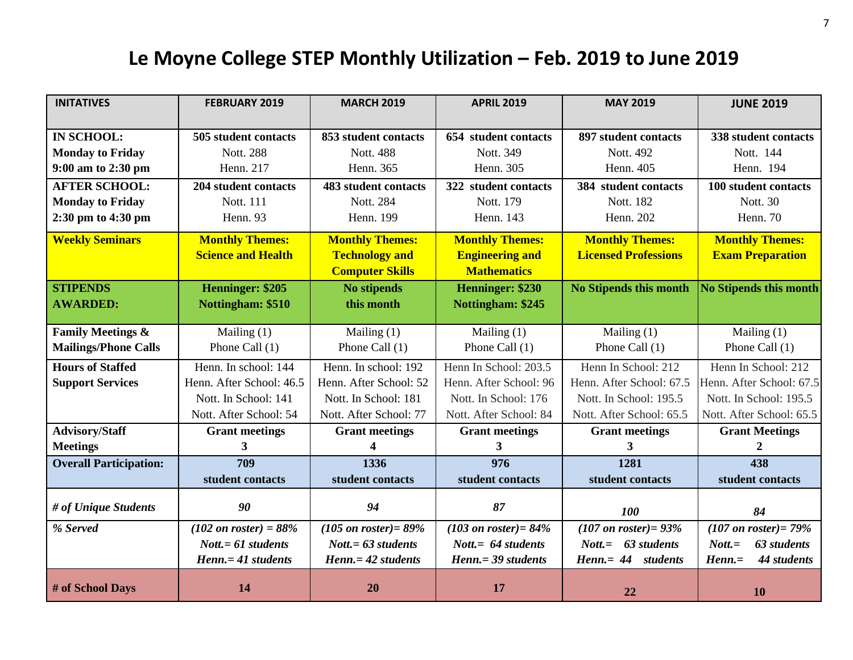## **Le Moyne College STEP Monthly Utilization – Feb. 2019 to June 2019**

| <b>INITATIVES</b>             | <b>FEBRUARY 2019</b>             | <b>MARCH 2019</b>                | <b>APRIL 2019</b>                | <b>MAY 2019</b>                       | <b>JUNE 2019</b>                  |
|-------------------------------|----------------------------------|----------------------------------|----------------------------------|---------------------------------------|-----------------------------------|
|                               |                                  |                                  |                                  |                                       |                                   |
| <b>IN SCHOOL:</b>             | 505 student contacts             | 853 student contacts             | 654 student contacts             | 897 student contacts                  | 338 student contacts              |
| <b>Monday to Friday</b>       | Nott. 288                        | <b>Nott. 488</b>                 | Nott. 349                        | Nott. 492                             | Nott. 144                         |
| 9:00 am to 2:30 pm            | Henn. 217                        | Henn. 365                        | Henn. 305                        | Henn. 405                             | Henn. 194                         |
| <b>AFTER SCHOOL:</b>          | 204 student contacts             | <b>483 student contacts</b>      | 322 student contacts             | 384 student contacts                  | 100 student contacts              |
| <b>Monday to Friday</b>       | Nott. 111                        | Nott. 284                        | Nott. 179                        | Nott. 182                             | <b>Nott. 30</b>                   |
| 2:30 pm to 4:30 pm            | Henn. 93                         | Henn. 199                        | Henn. 143                        | Henn. 202                             | Henn. 70                          |
| <b>Weekly Seminars</b>        | <b>Monthly Themes:</b>           | <b>Monthly Themes:</b>           | <b>Monthly Themes:</b>           | <b>Monthly Themes:</b>                | <b>Monthly Themes:</b>            |
|                               | <b>Science and Health</b>        | <b>Technology and</b>            | <b>Engineering and</b>           | <b>Licensed Professions</b>           | <b>Exam Preparation</b>           |
|                               |                                  | <b>Computer Skills</b>           | <b>Mathematics</b>               |                                       |                                   |
| <b>STIPENDS</b>               | Henninger: \$205                 | <b>No stipends</b>               | Henninger: \$230                 | <b>No Stipends this month</b>         | <b>No Stipends this month</b>     |
| <b>AWARDED:</b>               | Nottingham: \$510                | this month                       | Nottingham: \$245                |                                       |                                   |
|                               |                                  |                                  |                                  |                                       |                                   |
| <b>Family Meetings &amp;</b>  | Mailing $(1)$                    | Mailing $(1)$                    | Mailing $(1)$                    | Mailing (1)                           | Mailing $(1)$                     |
| <b>Mailings/Phone Calls</b>   | Phone Call (1)                   | Phone Call (1)                   | Phone Call (1)                   | Phone Call $(1)$                      | Phone Call $(1)$                  |
| <b>Hours of Staffed</b>       | Henn. In school: 144             | Henn. In school: 192             | Henn In School: 203.5            | Henn In School: 212                   | Henn In School: 212               |
| <b>Support Services</b>       | Henn. After School: 46.5         | Henn. After School: 52           | Henn. After School: 96           | Henn. After School: 67.5              | Henn. After School: 67.5          |
|                               | Nott. In School: 141             | Nott. In School: 181             | Nott. In School: 176             | Nott. In School: 195.5                | Nott. In School: 195.5            |
|                               | Nott. After School: 54           | Nott. After School: 77           | Nott. After School: 84           | Nott. After School: 65.5              | Nott. After School: 65.5          |
| <b>Advisory/Staff</b>         | <b>Grant meetings</b>            | <b>Grant meetings</b>            | <b>Grant meetings</b>            | <b>Grant meetings</b>                 | <b>Grant Meetings</b>             |
| <b>Meetings</b>               | 3                                | 4                                | 3                                | 3                                     | 2                                 |
| <b>Overall Participation:</b> | 709                              | 1336                             | 976                              | 1281                                  | 438                               |
|                               | student contacts                 | student contacts                 | student contacts                 | student contacts                      | student contacts                  |
| # of Unique Students          | 90                               | 94                               | 87                               | <b>100</b>                            | 84                                |
| % Served                      | $(102 \text{ on roster}) = 88\%$ | $(105 \text{ on roster}) = 89\%$ | $(103 \text{ on roster}) = 84\%$ | $(107$ on roster) = 93%               | $(107 \text{ on roster}) = 79\%$  |
|                               | $Nott = 61 students$             | $Nott = 63 students$             | Nott. $= 64$ students            | $\textit{Nott} = 63 \text{ students}$ | 63 students<br>$\textit{Nott}$ .= |
|                               | Henn. = 41 students              | $Henn = 42$ students             | Henn. = 39 students              | Henn.= 44 students                    | $Henn =$<br>44 students           |
| # of School Days              | 14                               | 20                               | 17                               | 22                                    | <b>10</b>                         |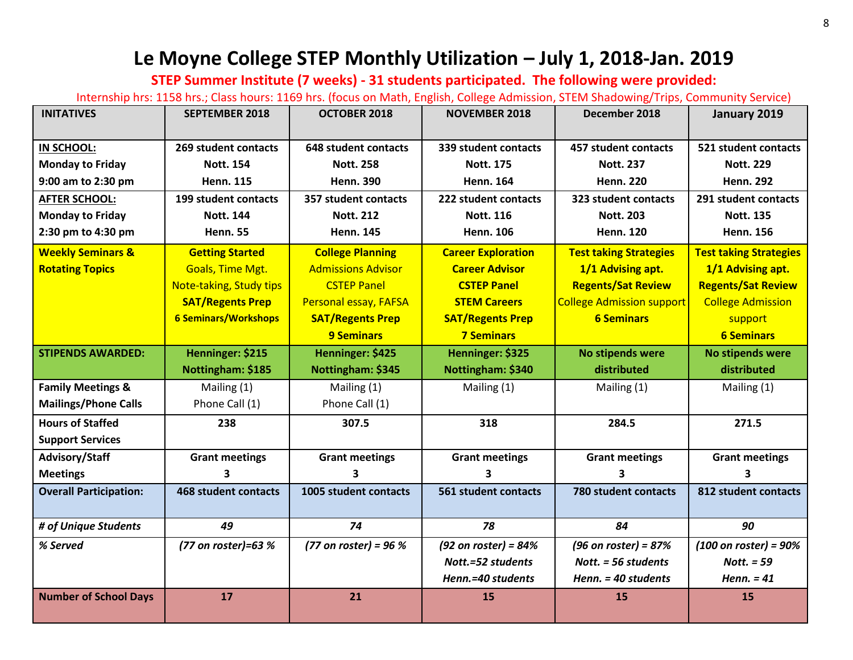### **Le Moyne College STEP Monthly Utilization – July 1, 2018-Jan. 2019**

**STEP Summer Institute (7 weeks) - 31 students participated. The following were provided:**

Internship hrs: 1158 hrs.; Class hours: 1169 hrs. (focus on Math, English, College Admission, STEM Shadowing/Trips, Community Service)

| <b>INITATIVES</b>             | <b>SEPTEMBER 2018</b>       | <b>OCTOBER 2018</b>          | <b>NOVEMBER 2018</b>      | December 2018                    | January 2019                     |
|-------------------------------|-----------------------------|------------------------------|---------------------------|----------------------------------|----------------------------------|
|                               |                             |                              |                           |                                  |                                  |
| IN SCHOOL:                    | 269 student contacts        | 648 student contacts         | 339 student contacts      | 457 student contacts             | 521 student contacts             |
| <b>Monday to Friday</b>       | <b>Nott. 154</b>            | <b>Nott. 258</b>             | <b>Nott. 175</b>          | <b>Nott. 237</b>                 | <b>Nott. 229</b>                 |
| 9:00 am to 2:30 pm            | <b>Henn. 115</b>            | <b>Henn. 390</b>             | <b>Henn. 164</b>          | <b>Henn. 220</b>                 | <b>Henn. 292</b>                 |
| <b>AFTER SCHOOL:</b>          | 199 student contacts        | 357 student contacts         | 222 student contacts      | 323 student contacts             | 291 student contacts             |
| <b>Monday to Friday</b>       | <b>Nott. 144</b>            | <b>Nott. 212</b>             | <b>Nott. 116</b>          | <b>Nott. 203</b>                 | <b>Nott. 135</b>                 |
| 2:30 pm to 4:30 pm            | <b>Henn. 55</b>             | <b>Henn. 145</b>             | <b>Henn. 106</b>          | <b>Henn. 120</b>                 | <b>Henn. 156</b>                 |
| <b>Weekly Seminars &amp;</b>  | <b>Getting Started</b>      | <b>College Planning</b>      | <b>Career Exploration</b> | <b>Test taking Strategies</b>    | <b>Test taking Strategies</b>    |
| <b>Rotating Topics</b>        | <b>Goals, Time Mgt.</b>     | <b>Admissions Advisor</b>    | <b>Career Advisor</b>     | 1/1 Advising apt.                | 1/1 Advising apt.                |
|                               | Note-taking, Study tips     | <b>CSTEP Panel</b>           | <b>CSTEP Panel</b>        | <b>Regents/Sat Review</b>        | <b>Regents/Sat Review</b>        |
|                               | <b>SAT/Regents Prep</b>     | <b>Personal essay, FAFSA</b> | <b>STEM Careers</b>       | <b>College Admission support</b> | <b>College Admission</b>         |
|                               | <b>6 Seminars/Workshops</b> | <b>SAT/Regents Prep</b>      | <b>SAT/Regents Prep</b>   | <b>6 Seminars</b>                | support                          |
|                               |                             | <b>9 Seminars</b>            | <b>7 Seminars</b>         |                                  | <b>6 Seminars</b>                |
| <b>STIPENDS AWARDED:</b>      | Henninger: \$215            | Henninger: \$425             | Henninger: \$325          | No stipends were                 | <b>No stipends were</b>          |
|                               | Nottingham: \$185           | Nottingham: \$345            | Nottingham: \$340         | distributed                      | distributed                      |
| <b>Family Meetings &amp;</b>  | Mailing (1)                 | Mailing (1)                  | Mailing (1)               | Mailing (1)                      | Mailing (1)                      |
| <b>Mailings/Phone Calls</b>   | Phone Call (1)              | Phone Call (1)               |                           |                                  |                                  |
| <b>Hours of Staffed</b>       | 238                         | 307.5                        | 318                       | 284.5                            | 271.5                            |
| <b>Support Services</b>       |                             |                              |                           |                                  |                                  |
| Advisory/Staff                | <b>Grant meetings</b>       | <b>Grant meetings</b>        | <b>Grant meetings</b>     | <b>Grant meetings</b>            | <b>Grant meetings</b>            |
| <b>Meetings</b>               | 3                           | 3                            | 3                         | 3                                | 3                                |
| <b>Overall Participation:</b> | <b>468 student contacts</b> | 1005 student contacts        | 561 student contacts      | 780 student contacts             | 812 student contacts             |
|                               |                             |                              |                           |                                  |                                  |
| # of Unique Students          | 49                          | 74                           | 78                        | 84                               | 90                               |
| % Served                      | (77 on roster)=63 %         | (77 on roster) = $96%$       | (92 on roster) = $84%$    | (96 on roster) = $87%$           | $(100 \text{ on roster}) = 90\%$ |
|                               |                             |                              | Nott.=52 students         | Nott. $=$ 56 students            | Nott. $= 59$                     |
|                               |                             |                              | Henn.=40 students         | Henn. = 40 students              | Henn. $= 41$                     |
| <b>Number of School Days</b>  | 17                          | 21                           | 15                        | 15                               | 15                               |
|                               |                             |                              |                           |                                  |                                  |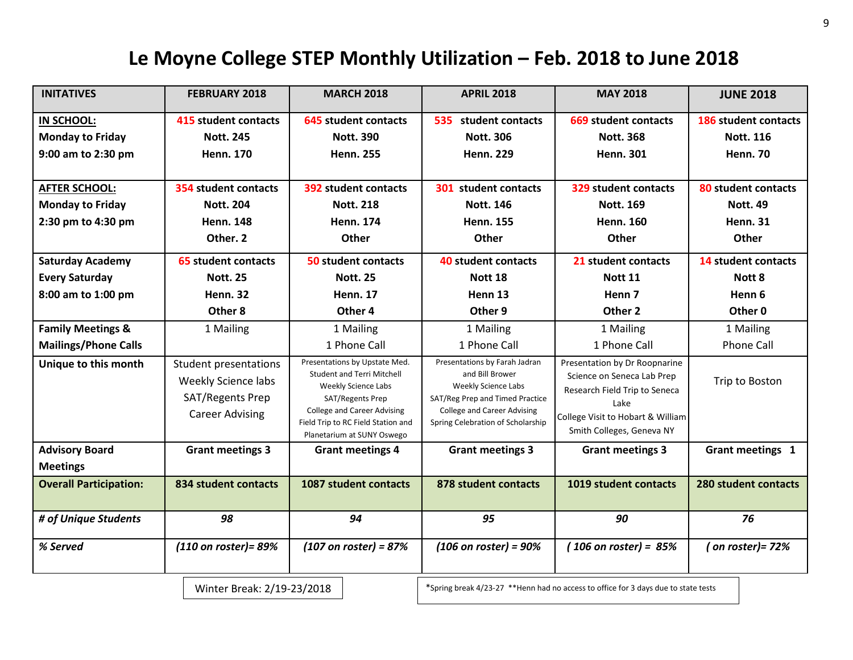### **Le Moyne College STEP Monthly Utilization – Feb. 2018 to June 2018**

| <b>INITATIVES</b>             | <b>FEBRUARY 2018</b>                                                                              | <b>MARCH 2018</b>                                                                                                                                                                                                       | <b>APRIL 2018</b>                                                                                                                                                                     | <b>MAY 2018</b>                                                                                                                                                        | <b>JUNE 2018</b>            |
|-------------------------------|---------------------------------------------------------------------------------------------------|-------------------------------------------------------------------------------------------------------------------------------------------------------------------------------------------------------------------------|---------------------------------------------------------------------------------------------------------------------------------------------------------------------------------------|------------------------------------------------------------------------------------------------------------------------------------------------------------------------|-----------------------------|
| IN SCHOOL:                    | <b>415 student contacts</b>                                                                       | <b>645 student contacts</b>                                                                                                                                                                                             | 535 student contacts                                                                                                                                                                  | 669 student contacts                                                                                                                                                   | 186 student contacts        |
| <b>Monday to Friday</b>       | <b>Nott. 245</b>                                                                                  | <b>Nott. 390</b>                                                                                                                                                                                                        | <b>Nott. 306</b>                                                                                                                                                                      | <b>Nott. 368</b>                                                                                                                                                       | <b>Nott. 116</b>            |
| 9:00 am to 2:30 pm            | <b>Henn. 170</b>                                                                                  | <b>Henn. 255</b>                                                                                                                                                                                                        | <b>Henn. 229</b>                                                                                                                                                                      | <b>Henn. 301</b>                                                                                                                                                       | <b>Henn. 70</b>             |
|                               |                                                                                                   |                                                                                                                                                                                                                         |                                                                                                                                                                                       |                                                                                                                                                                        |                             |
| <b>AFTER SCHOOL:</b>          | 354 student contacts                                                                              | 392 student contacts                                                                                                                                                                                                    | 301 student contacts                                                                                                                                                                  | 329 student contacts                                                                                                                                                   | 80 student contacts         |
| <b>Monday to Friday</b>       | <b>Nott. 204</b>                                                                                  | <b>Nott. 218</b>                                                                                                                                                                                                        | <b>Nott. 146</b>                                                                                                                                                                      | <b>Nott. 169</b>                                                                                                                                                       | <b>Nott. 49</b>             |
| 2:30 pm to 4:30 pm            | <b>Henn. 148</b>                                                                                  | <b>Henn. 174</b>                                                                                                                                                                                                        | <b>Henn. 155</b>                                                                                                                                                                      | <b>Henn. 160</b>                                                                                                                                                       | <b>Henn. 31</b>             |
|                               | Other. 2                                                                                          | Other                                                                                                                                                                                                                   | Other                                                                                                                                                                                 | Other                                                                                                                                                                  | Other                       |
| <b>Saturday Academy</b>       | 65 student contacts                                                                               | <b>50 student contacts</b>                                                                                                                                                                                              | 40 student contacts                                                                                                                                                                   | 21 student contacts                                                                                                                                                    | 14 student contacts         |
| <b>Every Saturday</b>         | <b>Nott. 25</b>                                                                                   | <b>Nott. 25</b>                                                                                                                                                                                                         | Nott 18                                                                                                                                                                               | <b>Nott 11</b>                                                                                                                                                         | Nott 8                      |
| 8:00 am to 1:00 pm            | <b>Henn. 32</b>                                                                                   | <b>Henn. 17</b>                                                                                                                                                                                                         | Henn 13                                                                                                                                                                               | Henn <sub>7</sub>                                                                                                                                                      | Henn 6                      |
|                               | Other 8                                                                                           | Other 4                                                                                                                                                                                                                 | Other 9                                                                                                                                                                               | Other <sub>2</sub>                                                                                                                                                     | Other 0                     |
| <b>Family Meetings &amp;</b>  | 1 Mailing                                                                                         | 1 Mailing                                                                                                                                                                                                               | 1 Mailing                                                                                                                                                                             | 1 Mailing                                                                                                                                                              | 1 Mailing                   |
| <b>Mailings/Phone Calls</b>   |                                                                                                   | 1 Phone Call                                                                                                                                                                                                            | 1 Phone Call                                                                                                                                                                          | 1 Phone Call                                                                                                                                                           | <b>Phone Call</b>           |
| Unique to this month          | <b>Student presentations</b><br>Weekly Science labs<br>SAT/Regents Prep<br><b>Career Advising</b> | Presentations by Upstate Med.<br><b>Student and Terri Mitchell</b><br>Weekly Science Labs<br>SAT/Regents Prep<br><b>College and Career Advising</b><br>Field Trip to RC Field Station and<br>Planetarium at SUNY Oswego | Presentations by Farah Jadran<br>and Bill Brower<br>Weekly Science Labs<br>SAT/Reg Prep and Timed Practice<br><b>College and Career Advising</b><br>Spring Celebration of Scholarship | Presentation by Dr Roopnarine<br>Science on Seneca Lab Prep<br>Research Field Trip to Seneca<br>Lake<br>College Visit to Hobart & William<br>Smith Colleges, Geneva NY | Trip to Boston              |
| <b>Advisory Board</b>         | <b>Grant meetings 3</b>                                                                           | <b>Grant meetings 4</b>                                                                                                                                                                                                 | <b>Grant meetings 3</b>                                                                                                                                                               | <b>Grant meetings 3</b>                                                                                                                                                | Grant meetings 1            |
| <b>Meetings</b>               |                                                                                                   |                                                                                                                                                                                                                         |                                                                                                                                                                                       |                                                                                                                                                                        |                             |
| <b>Overall Participation:</b> | 834 student contacts                                                                              | 1087 student contacts                                                                                                                                                                                                   | 878 student contacts                                                                                                                                                                  | 1019 student contacts                                                                                                                                                  | <b>280 student contacts</b> |
| # of Unique Students          | 98                                                                                                | 94                                                                                                                                                                                                                      | 95                                                                                                                                                                                    | 90                                                                                                                                                                     | 76                          |
| % Served                      | (110 on roster) = 89%                                                                             | $(107$ on roster) = 87%                                                                                                                                                                                                 | $(106$ on roster) = $90%$                                                                                                                                                             | $(106$ on roster) = 85%                                                                                                                                                | (on roster) = $72%$         |
|                               | Winter Break: 2/19-23/2018                                                                        |                                                                                                                                                                                                                         |                                                                                                                                                                                       | *Spring break 4/23-27 **Henn had no access to office for 3 days due to state tests                                                                                     |                             |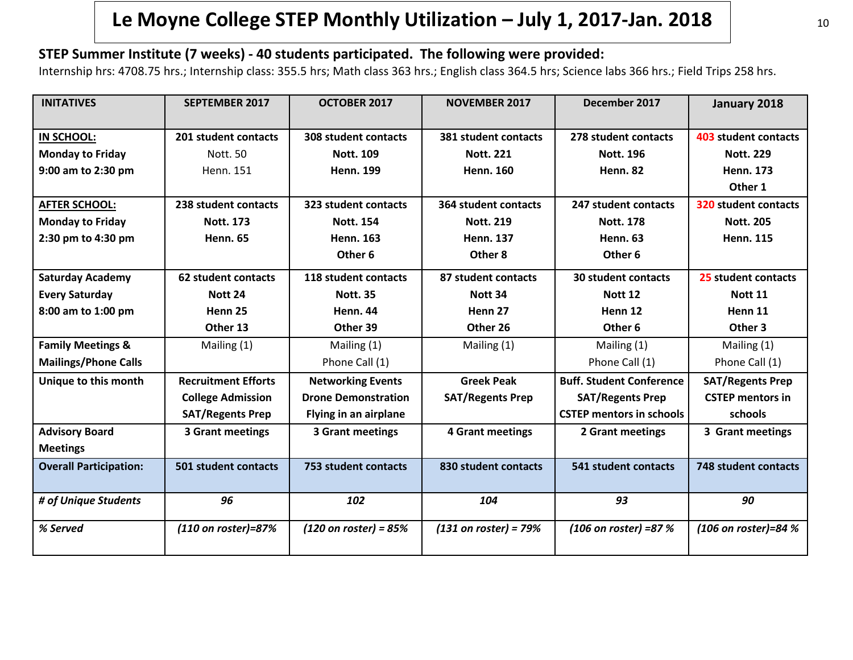### **Le Moyne College STEP Monthly Utilization – July 1, 2017-Jan. 2018**

#### **STEP Summer Institute (7 weeks) - 40 students participated. The following were provided:**

Internship hrs: 4708.75 hrs.; Internship class: 355.5 hrs; Math class 363 hrs.; English class 364.5 hrs; Science labs 366 hrs.; Field Trips 258 hrs.

| <b>INITATIVES</b>             | <b>SEPTEMBER 2017</b>      | OCTOBER 2017                    | <b>NOVEMBER 2017</b>    | December 2017                   | January 2018                |
|-------------------------------|----------------------------|---------------------------------|-------------------------|---------------------------------|-----------------------------|
| IN SCHOOL:                    | 201 student contacts       | 308 student contacts            | 381 student contacts    | 278 student contacts            | <b>403 student contacts</b> |
| <b>Monday to Friday</b>       | Nott. 50                   | <b>Nott. 109</b>                | <b>Nott. 221</b>        | <b>Nott. 196</b>                | <b>Nott. 229</b>            |
| 9:00 am to 2:30 pm            | Henn. 151                  | <b>Henn. 199</b>                | <b>Henn. 160</b>        | <b>Henn. 82</b>                 | <b>Henn. 173</b>            |
|                               |                            |                                 |                         |                                 | Other 1                     |
| <b>AFTER SCHOOL:</b>          | 238 student contacts       | 323 student contacts            | 364 student contacts    | 247 student contacts            | 320 student contacts        |
| <b>Monday to Friday</b>       | <b>Nott. 173</b>           | <b>Nott. 154</b>                | <b>Nott. 219</b>        | <b>Nott. 178</b>                | <b>Nott. 205</b>            |
| 2:30 pm to 4:30 pm            | <b>Henn. 65</b>            | <b>Henn. 163</b>                | <b>Henn. 137</b>        | <b>Henn. 63</b>                 | <b>Henn. 115</b>            |
|                               |                            | Other 6                         | Other 8                 | Other <sub>6</sub>              |                             |
| <b>Saturday Academy</b>       | 62 student contacts        | 118 student contacts            | 87 student contacts     | <b>30 student contacts</b>      | 25 student contacts         |
| <b>Every Saturday</b>         | Nott 24                    | <b>Nott. 35</b>                 | Nott 34                 | <b>Nott 12</b>                  | <b>Nott 11</b>              |
| 8:00 am to 1:00 pm            | Henn 25                    | <b>Henn. 44</b>                 | Henn 27                 | Henn 12                         | Henn 11                     |
|                               | Other 13                   | Other 39                        | Other 26                | Other <sub>6</sub>              | Other 3                     |
| <b>Family Meetings &amp;</b>  | Mailing (1)                | Mailing (1)                     | Mailing (1)             | Mailing (1)                     | Mailing (1)                 |
| <b>Mailings/Phone Calls</b>   |                            | Phone Call (1)                  |                         | Phone Call (1)                  | Phone Call (1)              |
| Unique to this month          | <b>Recruitment Efforts</b> | <b>Networking Events</b>        | <b>Greek Peak</b>       | <b>Buff. Student Conference</b> | <b>SAT/Regents Prep</b>     |
|                               | <b>College Admission</b>   | <b>Drone Demonstration</b>      | <b>SAT/Regents Prep</b> | <b>SAT/Regents Prep</b>         | <b>CSTEP mentors in</b>     |
|                               | <b>SAT/Regents Prep</b>    | Flying in an airplane           |                         | <b>CSTEP mentors in schools</b> | schools                     |
| <b>Advisory Board</b>         | 3 Grant meetings           | 3 Grant meetings                | <b>4 Grant meetings</b> | 2 Grant meetings                | 3 Grant meetings            |
| <b>Meetings</b>               |                            |                                 |                         |                                 |                             |
| <b>Overall Participation:</b> | 501 student contacts       | 753 student contacts            | 830 student contacts    | 541 student contacts            | 748 student contacts        |
| # of Unique Students          | 96                         | 102                             | 104                     | 93                              | 90                          |
| % Served                      | (110 on roster)=87%        | $(120 \text{ on roster}) = 85%$ | $(131$ on roster) = 79% | (106 on roster) =87 %           | (106 on roster)=84 %        |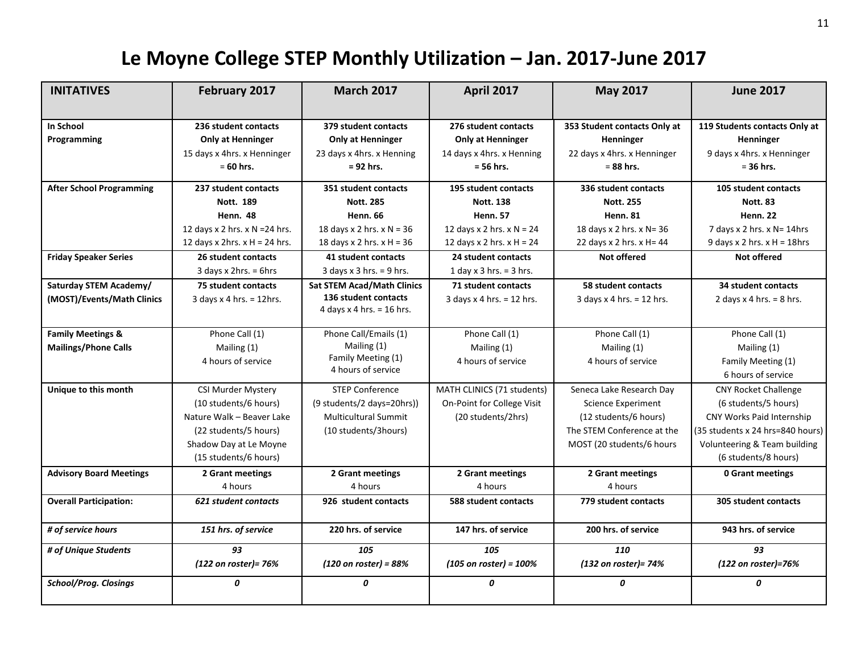## **Le Moyne College STEP Monthly Utilization – Jan. 2017-June 2017**

| <b>INITATIVES</b>               | February 2017                                                                                  | <b>March 2017</b>                                                                            | <b>April 2017</b>                                                                            | <b>May 2017</b>                                                                         | <b>June 2017</b>                                                                        |
|---------------------------------|------------------------------------------------------------------------------------------------|----------------------------------------------------------------------------------------------|----------------------------------------------------------------------------------------------|-----------------------------------------------------------------------------------------|-----------------------------------------------------------------------------------------|
|                                 |                                                                                                |                                                                                              |                                                                                              |                                                                                         |                                                                                         |
| In School<br>Programming        | 236 student contacts<br><b>Only at Henninger</b><br>15 days x 4hrs. x Henninger<br>$= 60$ hrs. | 379 student contacts<br><b>Only at Henninger</b><br>23 days x 4hrs. x Henning<br>$= 92$ hrs. | 276 student contacts<br><b>Only at Henninger</b><br>14 days x 4hrs. x Henning<br>$= 56$ hrs. | 353 Student contacts Only at<br>Henninger<br>22 days x 4hrs. x Henninger<br>$= 88$ hrs. | 119 Students contacts Only at<br>Henninger<br>9 days x 4hrs. x Henninger<br>$= 36$ hrs. |
| <b>After School Programming</b> | 237 student contacts                                                                           | 351 student contacts                                                                         | 195 student contacts                                                                         | 336 student contacts                                                                    | 105 student contacts                                                                    |
|                                 | Nott. 189                                                                                      | <b>Nott. 285</b>                                                                             | <b>Nott. 138</b>                                                                             | <b>Nott. 255</b>                                                                        | <b>Nott. 83</b>                                                                         |
|                                 | Henn. 48                                                                                       | <b>Henn. 66</b>                                                                              | <b>Henn. 57</b>                                                                              | <b>Henn. 81</b>                                                                         | <b>Henn. 22</b>                                                                         |
|                                 | 12 days x 2 hrs. x $N = 24$ hrs.                                                               | 18 days x 2 hrs. $x$ N = 36                                                                  | 12 days x 2 hrs. $x$ N = 24                                                                  | 18 days x 2 hrs. x N= 36                                                                | 7 days x 2 hrs. x N= 14hrs                                                              |
|                                 | 12 days x 2hrs. $x$ H = 24 hrs.                                                                | 18 days x 2 hrs. $x$ H = 36                                                                  | 12 days x 2 hrs. $x H = 24$                                                                  | 22 days x 2 hrs. x H= 44                                                                | 9 days x 2 hrs. $x$ H = 18hrs                                                           |
| <b>Friday Speaker Series</b>    | 26 student contacts                                                                            | 41 student contacts                                                                          | 24 student contacts                                                                          | <b>Not offered</b>                                                                      | <b>Not offered</b>                                                                      |
|                                 | 3 days x 2hrs. $= 6$ hrs                                                                       | 3 days $x$ 3 hrs. = 9 hrs.                                                                   | 1 day x 3 hrs. $=$ 3 hrs.                                                                    |                                                                                         |                                                                                         |
| Saturday STEM Academy/          | 75 student contacts                                                                            | <b>Sat STEM Acad/Math Clinics</b>                                                            | 71 student contacts                                                                          | 58 student contacts                                                                     | 34 student contacts                                                                     |
| (MOST)/Events/Math Clinics      | 3 days $x$ 4 hrs. = 12hrs.                                                                     | 136 student contacts                                                                         | 3 days $x$ 4 hrs. = 12 hrs.                                                                  | 3 days $x$ 4 hrs. = 12 hrs.                                                             | 2 days $x$ 4 hrs. = 8 hrs.                                                              |
|                                 |                                                                                                | 4 days x 4 hrs. $=$ 16 hrs.                                                                  |                                                                                              |                                                                                         |                                                                                         |
| <b>Family Meetings &amp;</b>    | Phone Call (1)                                                                                 | Phone Call/Emails (1)                                                                        | Phone Call (1)                                                                               | Phone Call (1)                                                                          | Phone Call (1)                                                                          |
| <b>Mailings/Phone Calls</b>     | Mailing (1)                                                                                    | Mailing (1)                                                                                  | Mailing (1)                                                                                  | Mailing (1)                                                                             | Mailing (1)                                                                             |
|                                 | 4 hours of service                                                                             | Family Meeting (1)                                                                           | 4 hours of service                                                                           | 4 hours of service                                                                      | Family Meeting (1)                                                                      |
|                                 |                                                                                                | 4 hours of service                                                                           |                                                                                              |                                                                                         | 6 hours of service                                                                      |
| Unique to this month            | CSI Murder Mystery                                                                             | <b>STEP Conference</b>                                                                       | MATH CLINICS (71 students)                                                                   | Seneca Lake Research Day                                                                | <b>CNY Rocket Challenge</b>                                                             |
|                                 | (10 students/6 hours)                                                                          | (9 students/2 days=20hrs))                                                                   | On-Point for College Visit                                                                   | <b>Science Experiment</b>                                                               | (6 students/5 hours)                                                                    |
|                                 | Nature Walk - Beaver Lake                                                                      | <b>Multicultural Summit</b>                                                                  | (20 students/2hrs)                                                                           | (12 students/6 hours)                                                                   | <b>CNY Works Paid Internship</b>                                                        |
|                                 | (22 students/5 hours)                                                                          | (10 students/3hours)                                                                         |                                                                                              | The STEM Conference at the                                                              | (35 students x 24 hrs=840 hours)                                                        |
|                                 | Shadow Day at Le Moyne                                                                         |                                                                                              |                                                                                              | MOST (20 students/6 hours                                                               | Volunteering & Team building                                                            |
|                                 | (15 students/6 hours)                                                                          |                                                                                              |                                                                                              |                                                                                         | (6 students/8 hours)                                                                    |
| <b>Advisory Board Meetings</b>  | 2 Grant meetings                                                                               | 2 Grant meetings                                                                             | 2 Grant meetings                                                                             | 2 Grant meetings                                                                        | <b>0 Grant meetings</b>                                                                 |
|                                 | 4 hours                                                                                        | 4 hours                                                                                      | 4 hours                                                                                      | 4 hours                                                                                 |                                                                                         |
| <b>Overall Participation:</b>   | 621 student contacts                                                                           | 926 student contacts                                                                         | <b>588 student contacts</b>                                                                  | 779 student contacts                                                                    | 305 student contacts                                                                    |
| # of service hours              | 151 hrs. of service                                                                            | 220 hrs. of service                                                                          | 147 hrs. of service                                                                          | 200 hrs. of service                                                                     | 943 hrs. of service                                                                     |
| # of Unique Students            | 93                                                                                             | 105                                                                                          | 105                                                                                          | 110                                                                                     | 93                                                                                      |
|                                 | (122 on roster)= 76%                                                                           | $(120 \text{ on roster}) = 88%$                                                              | $(105$ on roster) = 100%                                                                     | (132 on roster)= 74%                                                                    | (122 on roster)=76%                                                                     |
| <b>School/Prog. Closings</b>    | 0                                                                                              | 0                                                                                            | 0                                                                                            | 0                                                                                       | 0                                                                                       |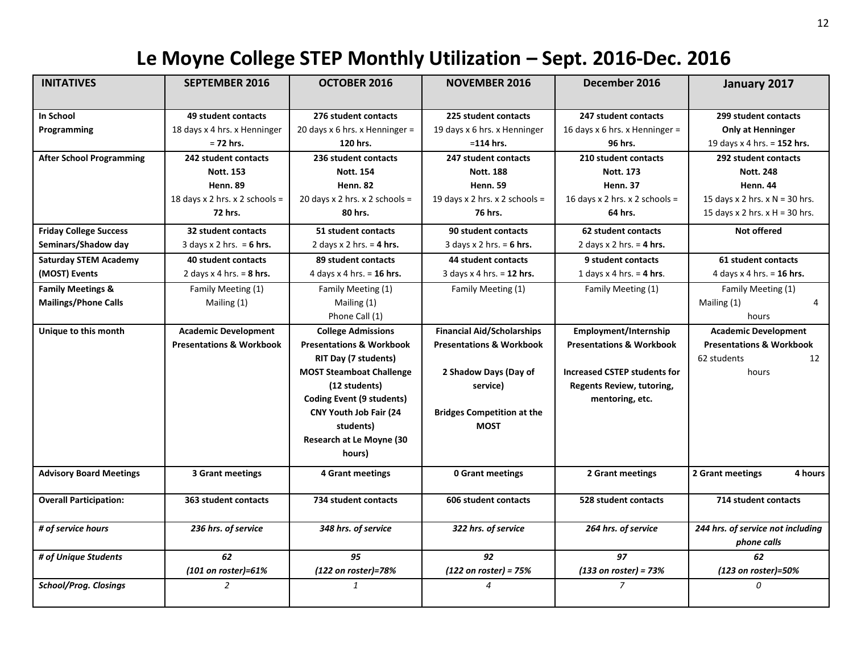## **Le Moyne College STEP Monthly Utilization – Sept. 2016-Dec. 2016**

| <b>INITATIVES</b>               | <b>SEPTEMBER 2016</b>               | <b>OCTOBER 2016</b>                 | <b>NOVEMBER 2016</b>                | December 2016                       | January 2017                                     |
|---------------------------------|-------------------------------------|-------------------------------------|-------------------------------------|-------------------------------------|--------------------------------------------------|
|                                 |                                     |                                     |                                     |                                     |                                                  |
| In School                       | 49 student contacts                 | 276 student contacts                | 225 student contacts                | 247 student contacts                | 299 student contacts                             |
| Programming                     | 18 days x 4 hrs. x Henninger        | 20 days $x$ 6 hrs. x Henninger =    | 19 days x 6 hrs. x Henninger        | 16 days x 6 hrs. x Henninger =      | <b>Only at Henninger</b>                         |
|                                 | $= 72$ hrs.                         | 120 hrs.                            | $= 114$ hrs.                        | 96 hrs.                             | 19 days x 4 hrs. = 152 hrs.                      |
| <b>After School Programming</b> | 242 student contacts                | 236 student contacts                | 247 student contacts                | 210 student contacts                | 292 student contacts                             |
|                                 | <b>Nott. 153</b>                    | <b>Nott. 154</b>                    | <b>Nott. 188</b>                    | <b>Nott. 173</b>                    | <b>Nott. 248</b>                                 |
|                                 | <b>Henn. 89</b>                     | <b>Henn. 82</b>                     | <b>Henn. 59</b>                     | <b>Henn. 37</b>                     | <b>Henn. 44</b>                                  |
|                                 | 18 days x 2 hrs. x 2 schools =      | 20 days x 2 hrs. x 2 schools =      | 19 days x 2 hrs. x 2 schools =      | 16 days x 2 hrs. x 2 schools =      | 15 days x 2 hrs. $x$ N = 30 hrs.                 |
|                                 | 72 hrs.                             | 80 hrs.                             | 76 hrs.                             | 64 hrs.                             | 15 days x 2 hrs. $x$ H = 30 hrs.                 |
| <b>Friday College Success</b>   | 32 student contacts                 | 51 student contacts                 | 90 student contacts                 | 62 student contacts                 | <b>Not offered</b>                               |
| Seminars/Shadow day             | 3 days $x$ 2 hrs. = 6 hrs.          | 2 days $x$ 2 hrs. = 4 hrs.          | 3 days $x$ 2 hrs. = 6 hrs.          | 2 days $x$ 2 hrs. = 4 hrs.          |                                                  |
| <b>Saturday STEM Academy</b>    | <b>40 student contacts</b>          | 89 student contacts                 | 44 student contacts                 | 9 student contacts                  | 61 student contacts                              |
| (MOST) Events                   | 2 days $x$ 4 hrs. = 8 hrs.          | 4 days $\times$ 4 hrs. = 16 hrs.    | 3 days x 4 hrs. = 12 hrs.           | 1 days $x$ 4 hrs. = 4 hrs.          | 4 days x 4 hrs. = 16 hrs.                        |
| <b>Family Meetings &amp;</b>    | Family Meeting (1)                  | Family Meeting (1)                  | Family Meeting (1)                  | Family Meeting (1)                  | Family Meeting (1)                               |
| <b>Mailings/Phone Calls</b>     | Mailing (1)                         | Mailing (1)                         |                                     |                                     | Mailing (1)<br>4                                 |
|                                 |                                     | Phone Call (1)                      |                                     |                                     | hours                                            |
| Unique to this month            | <b>Academic Development</b>         | <b>College Admissions</b>           | <b>Financial Aid/Scholarships</b>   | Employment/Internship               | <b>Academic Development</b>                      |
|                                 | <b>Presentations &amp; Workbook</b> | <b>Presentations &amp; Workbook</b> | <b>Presentations &amp; Workbook</b> | <b>Presentations &amp; Workbook</b> | <b>Presentations &amp; Workbook</b>              |
|                                 |                                     | RIT Day (7 students)                |                                     |                                     | 62 students<br>12                                |
|                                 |                                     | <b>MOST Steamboat Challenge</b>     | 2 Shadow Days (Day of               | <b>Increased CSTEP students for</b> | hours                                            |
|                                 |                                     | (12 students)                       | service)                            | <b>Regents Review, tutoring,</b>    |                                                  |
|                                 |                                     | Coding Event (9 students)           |                                     | mentoring, etc.                     |                                                  |
|                                 |                                     | CNY Youth Job Fair (24              | <b>Bridges Competition at the</b>   |                                     |                                                  |
|                                 |                                     | students)                           | <b>MOST</b>                         |                                     |                                                  |
|                                 |                                     | Research at Le Moyne (30            |                                     |                                     |                                                  |
|                                 |                                     | hours)                              |                                     |                                     |                                                  |
| <b>Advisory Board Meetings</b>  | 3 Grant meetings                    | 4 Grant meetings                    | 0 Grant meetings                    | 2 Grant meetings                    | 4 hours<br>2 Grant meetings                      |
| <b>Overall Participation:</b>   | 363 student contacts                | 734 student contacts                | 606 student contacts                | 528 student contacts                | 714 student contacts                             |
| # of service hours              | 236 hrs. of service                 | 348 hrs. of service                 | 322 hrs. of service                 | 264 hrs. of service                 | 244 hrs. of service not including<br>phone calls |
| # of Unique Students            | 62                                  | 95                                  | 92                                  | 97                                  | 62                                               |
|                                 | (101 on roster)=61%                 | (122 on roster)=78%                 | $(122$ on roster) = 75%             | $(133$ on roster) = 73%             | (123 on roster)=50%                              |
| School/Prog. Closings           | $\overline{a}$                      | $\mathbf{1}$                        | 4                                   | $\overline{7}$                      | 0                                                |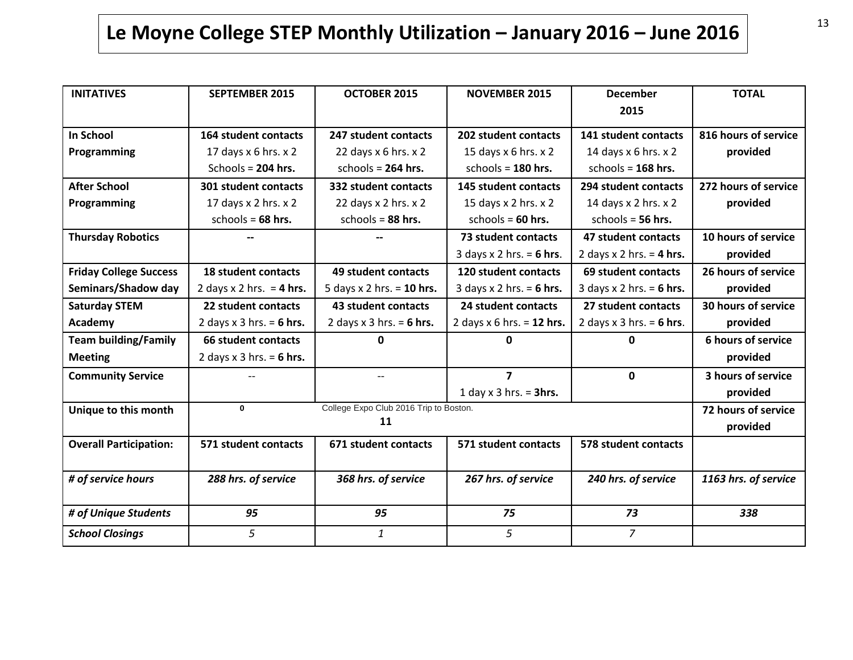# **Le Moyne College STEP Monthly Utilization – January 2016 – June 2016**

| <b>INITATIVES</b>             | <b>SEPTEMBER 2015</b>                       | OCTOBER 2015                | <b>NOVEMBER 2015</b>        | <b>December</b><br>2015    | <b>TOTAL</b>         |  |
|-------------------------------|---------------------------------------------|-----------------------------|-----------------------------|----------------------------|----------------------|--|
| <b>In School</b>              | 164 student contacts                        | 247 student contacts        | 202 student contacts        | 141 student contacts       | 816 hours of service |  |
| Programming                   | 17 days $x$ 6 hrs. $x$ 2                    | 22 days $x$ 6 hrs. $x$ 2    | 15 days $x$ 6 hrs. $x$ 2    | 14 days $x$ 6 hrs. $x$ 2   | provided             |  |
|                               | Schools = 204 hrs.                          | schools = $264$ hrs.        | schools = $180$ hrs.        | schools = $168$ hrs.       |                      |  |
| <b>After School</b>           | 301 student contacts                        | 332 student contacts        | <b>145 student contacts</b> | 294 student contacts       | 272 hours of service |  |
| Programming                   | 17 days x 2 hrs. x 2                        | 22 days x 2 hrs. x 2        | 15 days x 2 hrs. x 2        | 14 days x 2 hrs. x 2       | provided             |  |
|                               | schools = $68$ hrs.                         | schools = $88$ hrs.         | schools = $60$ hrs.         | schools = $56$ hrs.        |                      |  |
| <b>Thursday Robotics</b>      |                                             |                             | 73 student contacts         | 47 student contacts        | 10 hours of service  |  |
|                               |                                             |                             | 3 days $x$ 2 hrs. = 6 hrs.  | 2 days $x$ 2 hrs. = 4 hrs. | provided             |  |
| <b>Friday College Success</b> | <b>18 student contacts</b>                  | 49 student contacts         | 120 student contacts        | 69 student contacts        | 26 hours of service  |  |
| Seminars/Shadow day           | 2 days $\times$ 2 hrs. = 4 hrs.             | 5 days $x$ 2 hrs. = 10 hrs. | 3 days $x$ 2 hrs. = 6 hrs.  | 3 days $x$ 2 hrs. = 6 hrs. | provided             |  |
| <b>Saturday STEM</b>          | 22 student contacts                         | 43 student contacts         | 24 student contacts         | 27 student contacts        | 30 hours of service  |  |
| Academy                       | 2 days $x$ 3 hrs. = 6 hrs.                  | 2 days $x$ 3 hrs. = 6 hrs.  | 2 days $x$ 6 hrs. = 12 hrs. | 2 days $x$ 3 hrs. = 6 hrs. | provided             |  |
| <b>Team building/Family</b>   | 66 student contacts                         | 0                           | O.                          | 0                          | 6 hours of service   |  |
| <b>Meeting</b>                | 2 days $x$ 3 hrs. = 6 hrs.                  |                             |                             |                            | provided             |  |
| <b>Community Service</b>      |                                             |                             | $\overline{7}$              | $\mathbf{0}$               | 3 hours of service   |  |
|                               |                                             |                             | 1 day $x$ 3 hrs. = 3hrs.    |                            | provided             |  |
| Unique to this month          | College Expo Club 2016 Trip to Boston.<br>0 |                             |                             |                            |                      |  |
|                               |                                             | 11                          |                             |                            | provided             |  |
| <b>Overall Participation:</b> | 571 student contacts                        | 671 student contacts        | 571 student contacts        | 578 student contacts       |                      |  |
| # of service hours            | 288 hrs. of service                         | 368 hrs. of service         | 267 hrs. of service         | 240 hrs. of service        | 1163 hrs. of service |  |
| # of Unique Students          | 95                                          | 95                          | 75                          | 73                         | 338                  |  |
| <b>School Closings</b>        | 5                                           | $\mathbf{1}$                | 5                           | $\overline{7}$             |                      |  |